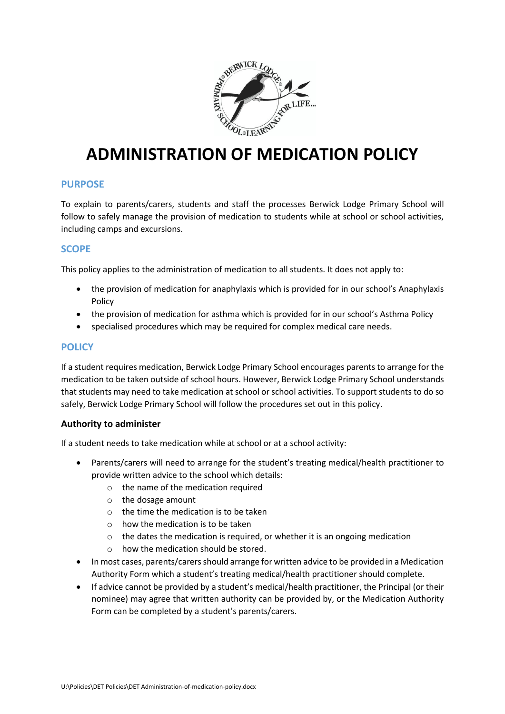

# **ADMINISTRATION OF MEDICATION POLICY**

# **PURPOSE**

To explain to parents/carers, students and staff the processes Berwick Lodge Primary School will follow to safely manage the provision of medication to students while at school or school activities, including camps and excursions.

# **SCOPE**

This policy applies to the administration of medication to all students. It does not apply to:

- the provision of medication for anaphylaxis which is provided for in our school's Anaphylaxis Policy
- the provision of medication for asthma which is provided for in our school's Asthma Policy
- specialised procedures which may be required for complex medical care needs.

# **POLICY**

If a student requires medication, Berwick Lodge Primary School encourages parents to arrange for the medication to be taken outside of school hours. However, Berwick Lodge Primary School understands that students may need to take medication at school or school activities. To support students to do so safely, Berwick Lodge Primary School will follow the procedures set out in this policy.

# **Authority to administer**

If a student needs to take medication while at school or at a school activity:

- Parents/carers will need to arrange for the student's treating medical/health practitioner to provide written advice to the school which details:
	- o the name of the medication required
	- o the dosage amount
	- $\circ$  the time the medication is to be taken
	- $\circ$  how the medication is to be taken
	- o the dates the medication is required, or whether it is an ongoing medication
	- o how the medication should be stored.
- In most cases, parents/carers should arrange for written advice to be provided in a Medication Authority Form which a student's treating medical/health practitioner should complete.
- If advice cannot be provided by a student's medical/health practitioner, the Principal (or their nominee) may agree that written authority can be provided by, or the Medication Authority Form can be completed by a student's parents/carers.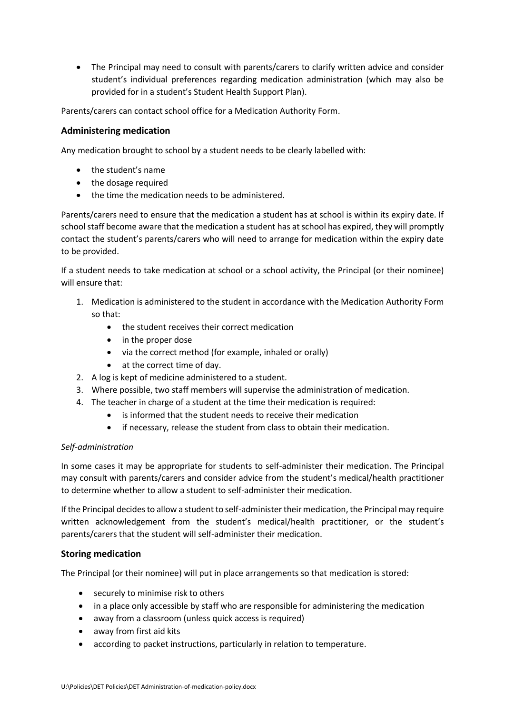• The Principal may need to consult with parents/carers to clarify written advice and consider student's individual preferences regarding medication administration (which may also be provided for in a student's Student Health Support Plan).

Parents/carers can contact school office for a Medication Authority Form.

## **Administering medication**

Any medication brought to school by a student needs to be clearly labelled with:

- the student's name
- the dosage required
- the time the medication needs to be administered.

Parents/carers need to ensure that the medication a student has at school is within its expiry date. If school staff become aware that the medication a student has at school has expired, they will promptly contact the student's parents/carers who will need to arrange for medication within the expiry date to be provided.

If a student needs to take medication at school or a school activity, the Principal (or their nominee) will ensure that:

- 1. Medication is administered to the student in accordance with the Medication Authority Form so that:
	- the student receives their correct medication
	- in the proper dose
	- via the correct method (for example, inhaled or orally)
	- at the correct time of day.
- 2. A log is kept of medicine administered to a student.
- 3. Where possible, two staff members will supervise the administration of medication.
- 4. The teacher in charge of a student at the time their medication is required:
	- is informed that the student needs to receive their medication
	- if necessary, release the student from class to obtain their medication.

#### *Self-administration*

In some cases it may be appropriate for students to self-administer their medication. The Principal may consult with parents/carers and consider advice from the student's medical/health practitioner to determine whether to allow a student to self-administer their medication.

If the Principal decides to allow a student to self-administer their medication, the Principal may require written acknowledgement from the student's medical/health practitioner, or the student's parents/carers that the student will self-administer their medication.

#### **Storing medication**

The Principal (or their nominee) will put in place arrangements so that medication is stored:

- securely to minimise risk to others
- in a place only accessible by staff who are responsible for administering the medication
- away from a classroom (unless quick access is required)
- away from first aid kits
- according to packet instructions, particularly in relation to temperature.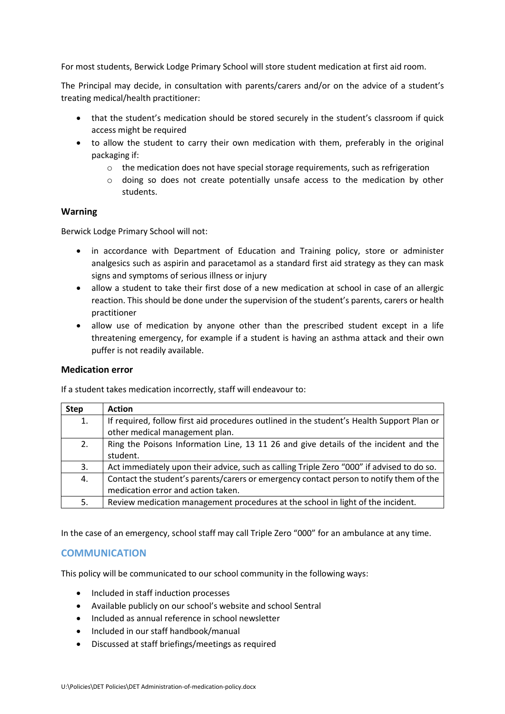For most students, Berwick Lodge Primary School will store student medication at first aid room.

The Principal may decide, in consultation with parents/carers and/or on the advice of a student's treating medical/health practitioner:

- that the student's medication should be stored securely in the student's classroom if quick access might be required
- to allow the student to carry their own medication with them, preferably in the original packaging if:
	- $\circ$  the medication does not have special storage requirements, such as refrigeration
	- o doing so does not create potentially unsafe access to the medication by other students.

### **Warning**

Berwick Lodge Primary School will not:

- in accordance with Department of Education and Training policy, store or administer analgesics such as aspirin and paracetamol as a standard first aid strategy as they can mask signs and symptoms of serious illness or injury
- allow a student to take their first dose of a new medication at school in case of an allergic reaction. This should be done under the supervision of the student's parents, carers or health practitioner
- allow use of medication by anyone other than the prescribed student except in a life threatening emergency, for example if a student is having an asthma attack and their own puffer is not readily available.

#### **Medication error**

If a student takes medication incorrectly, staff will endeavour to:

| <b>Step</b> | <b>Action</b>                                                                             |
|-------------|-------------------------------------------------------------------------------------------|
| 1.          | If required, follow first aid procedures outlined in the student's Health Support Plan or |
|             | other medical management plan.                                                            |
| 2.          | Ring the Poisons Information Line, 13 11 26 and give details of the incident and the      |
|             | student.                                                                                  |
| 3.          | Act immediately upon their advice, such as calling Triple Zero "000" if advised to do so. |
| 4.          | Contact the student's parents/carers or emergency contact person to notify them of the    |
|             | medication error and action taken.                                                        |
| 5.          | Review medication management procedures at the school in light of the incident.           |

In the case of an emergency, school staff may call Triple Zero "000" for an ambulance at any time.

# **COMMUNICATION**

This policy will be communicated to our school community in the following ways:

- Included in staff induction processes
- Available publicly on our school's website and school Sentral
- Included as annual reference in school newsletter
- Included in our staff handbook/manual
- Discussed at staff briefings/meetings as required